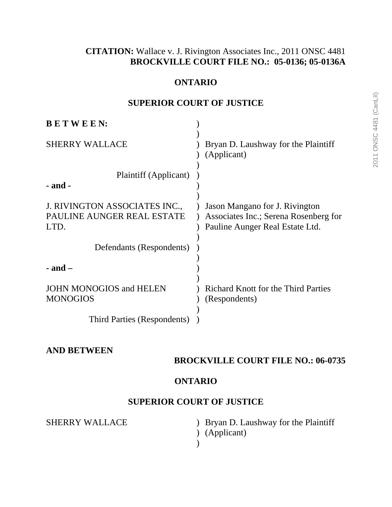# **CITATION:** Wallace v. J. Rivington Associates Inc., 2011 ONSC 4481 **BROCKVILLE COURT FILE NO.: 05-0136; 05-0136A**

#### **ONTARIO**

# **SUPERIOR COURT OF JUSTICE**

| <b>BETWEEN:</b>                                                     |                                                                                                            |
|---------------------------------------------------------------------|------------------------------------------------------------------------------------------------------------|
| <b>SHERRY WALLACE</b>                                               | Bryan D. Laushway for the Plaintiff<br>(Applicant)                                                         |
| Plaintiff (Applicant)<br>- and -                                    |                                                                                                            |
| J. RIVINGTON ASSOCIATES INC.,<br>PAULINE AUNGER REAL ESTATE<br>LTD. | Jason Mangano for J. Rivington<br>Associates Inc.; Serena Rosenberg for<br>Pauline Aunger Real Estate Ltd. |
| Defendants (Respondents)                                            |                                                                                                            |
| $-$ and $-$                                                         |                                                                                                            |
| <b>JOHN MONOGIOS and HELEN</b><br><b>MONOGIOS</b>                   | <b>Richard Knott for the Third Parties</b><br>(Respondents)                                                |
| Third Parties (Respondents)                                         |                                                                                                            |

# **AND BETWEEN**

# **BROCKVILLE COURT FILE NO.: 06-0735**

#### **ONTARIO**

## **SUPERIOR COURT OF JUSTICE**

SHERRY WALLACE

) (Applicant) ) Bryan D. Laushway for the Plaintiff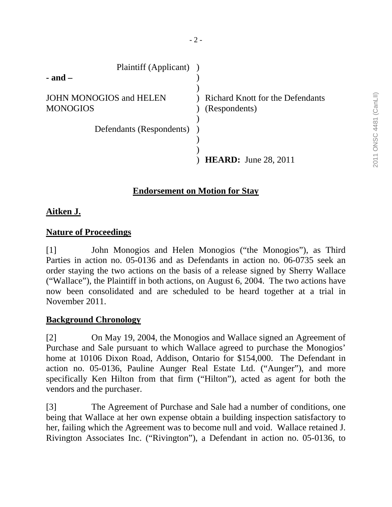| Plaintiff (Applicant)               |                                                          |
|-------------------------------------|----------------------------------------------------------|
| - and –                             |                                                          |
| JOHN MONOGIOS and HELEN<br>MONOGIOS | <b>Richard Knott for the Defendants</b><br>(Respondents) |
| Defendants (Respondents)            |                                                          |
|                                     |                                                          |
|                                     |                                                          |
|                                     | <b>HEARD:</b> June 28, 2011                              |

# **Endorsement on Motion for Stay**

# **Aitken J.**

# **Nature of Proceedings**

[1] John Monogios and Helen Monogios ("the Monogios"), as Third Parties in action no. 05-0136 and as Defendants in action no. 06-0735 seek an order staying the two actions on the basis of a release signed by Sherry Wallace ("Wallace"), the Plaintiff in both actions, on August 6, 2004. The two actions have now been consolidated and are scheduled to be heard together at a trial in November 2011.

## **Background Chronology**

[2] On May 19, 2004, the Monogios and Wallace signed an Agreement of Purchase and Sale pursuant to which Wallace agreed to purchase the Monogios' home at 10106 Dixon Road, Addison, Ontario for \$154,000. The Defendant in action no. 05-0136, Pauline Aunger Real Estate Ltd. ("Aunger"), and more specifically Ken Hilton from that firm ("Hilton"), acted as agent for both the vendors and the purchaser.

[3] The Agreement of Purchase and Sale had a number of conditions, one being that Wallace at her own expense obtain a building inspection satisfactory to her, failing which the Agreement was to become null and void. Wallace retained J. Rivington Associates Inc. ("Rivington"), a Defendant in action no. 05-0136, to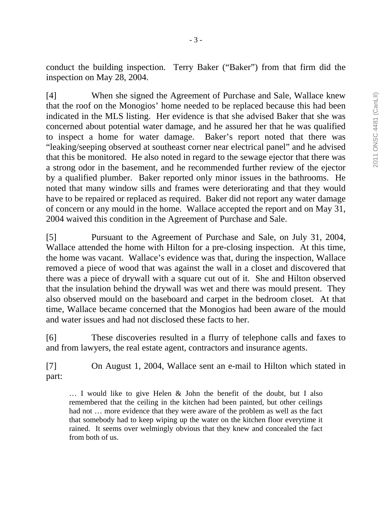conduct the building inspection. Terry Baker ("Baker") from that firm did the inspection on May 28, 2004.

[4] When she signed the Agreement of Purchase and Sale, Wallace knew that the roof on the Monogios' home needed to be replaced because this had been indicated in the MLS listing. Her evidence is that she advised Baker that she was concerned about potential water damage, and he assured her that he was qualified to inspect a home for water damage. Baker's report noted that there was "leaking/seeping observed at southeast corner near electrical panel" and he advised that this be monitored. He also noted in regard to the sewage ejector that there was a strong odor in the basement, and he recommended further review of the ejector by a qualified plumber. Baker reported only minor issues in the bathrooms. He noted that many window sills and frames were deteriorating and that they would have to be repaired or replaced as required. Baker did not report any water damage of concern or any mould in the home. Wallace accepted the report and on May 31, 2004 waived this condition in the Agreement of Purchase and Sale.

[5] Pursuant to the Agreement of Purchase and Sale, on July 31, 2004, Wallace attended the home with Hilton for a pre-closing inspection. At this time, the home was vacant. Wallace's evidence was that, during the inspection, Wallace removed a piece of wood that was against the wall in a closet and discovered that there was a piece of drywall with a square cut out of it. She and Hilton observed that the insulation behind the drywall was wet and there was mould present. They also observed mould on the baseboard and carpet in the bedroom closet. At that time, Wallace became concerned that the Monogios had been aware of the mould and water issues and had not disclosed these facts to her.

[6] These discoveries resulted in a flurry of telephone calls and faxes to and from lawyers, the real estate agent, contractors and insurance agents.

[7] On August 1, 2004, Wallace sent an e-mail to Hilton which stated in part:

… I would like to give Helen & John the benefit of the doubt, but I also remembered that the ceiling in the kitchen had been painted, but other ceilings had not … more evidence that they were aware of the problem as well as the fact that somebody had to keep wiping up the water on the kitchen floor everytime it rained. It seems over welmingly obvious that they knew and concealed the fact from both of us.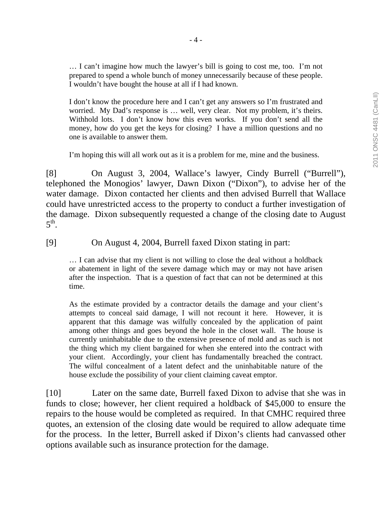… I can't imagine how much the lawyer's bill is going to cost me, too. I'm not prepared to spend a whole bunch of money unnecessarily because of these people. I wouldn't have bought the house at all if I had known.

I don't know the procedure here and I can't get any answers so I'm frustrated and worried. My Dad's response is … well, very clear. Not my problem, it's theirs. Withhold lots. I don't know how this even works. If you don't send all the money, how do you get the keys for closing? I have a million questions and no one is available to answer them.

I'm hoping this will all work out as it is a problem for me, mine and the business.

[8] On August 3, 2004, Wallace's lawyer, Cindy Burrell ("Burrell"), telephoned the Monogios' lawyer, Dawn Dixon ("Dixon"), to advise her of the water damage. Dixon contacted her clients and then advised Burrell that Wallace could have unrestricted access to the property to conduct a further investigation of the damage. Dixon subsequently requested a change of the closing date to August  $5^{\text{th}}$ .

[9] On August 4, 2004, Burrell faxed Dixon stating in part:

… I can advise that my client is not willing to close the deal without a holdback or abatement in light of the severe damage which may or may not have arisen after the inspection. That is a question of fact that can not be determined at this time.

As the estimate provided by a contractor details the damage and your client's attempts to conceal said damage, I will not recount it here. However, it is apparent that this damage was wilfully concealed by the application of paint among other things and goes beyond the hole in the closet wall. The house is currently uninhabitable due to the extensive presence of mold and as such is not the thing which my client bargained for when she entered into the contract with your client. Accordingly, your client has fundamentally breached the contract. The wilful concealment of a latent defect and the uninhabitable nature of the house exclude the possibility of your client claiming caveat emptor.

[10] Later on the same date, Burrell faxed Dixon to advise that she was in funds to close; however, her client required a holdback of \$45,000 to ensure the repairs to the house would be completed as required. In that CMHC required three quotes, an extension of the closing date would be required to allow adequate time for the process. In the letter, Burrell asked if Dixon's clients had canvassed other options available such as insurance protection for the damage.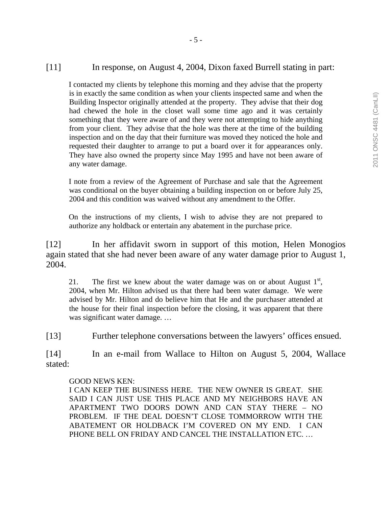#### [11] In response, on August 4, 2004, Dixon faxed Burrell stating in part:

I contacted my clients by telephone this morning and they advise that the property is in exactly the same condition as when your clients inspected same and when the Building Inspector originally attended at the property. They advise that their dog had chewed the hole in the closet wall some time ago and it was certainly something that they were aware of and they were not attempting to hide anything from your client. They advise that the hole was there at the time of the building inspection and on the day that their furniture was moved they noticed the hole and requested their daughter to arrange to put a board over it for appearances only. They have also owned the property since May 1995 and have not been aware of any water damage.

I note from a review of the Agreement of Purchase and sale that the Agreement was conditional on the buyer obtaining a building inspection on or before July 25, 2004 and this condition was waived without any amendment to the Offer.

On the instructions of my clients, I wish to advise they are not prepared to authorize any holdback or entertain any abatement in the purchase price.

[12] In her affidavit sworn in support of this motion, Helen Monogios again stated that she had never been aware of any water damage prior to August 1, 2004.

21. The first we knew about the water damage was on or about August  $1<sup>st</sup>$ , 2004, when Mr. Hilton advised us that there had been water damage. We were advised by Mr. Hilton and do believe him that He and the purchaser attended at the house for their final inspection before the closing, it was apparent that there was significant water damage. …

[13] Further telephone conversations between the lawyers' offices ensued.

[14] In an e-mail from Wallace to Hilton on August 5, 2004, Wallace stated:

#### GOOD NEWS KEN:

I CAN KEEP THE BUSINESS HERE. THE NEW OWNER IS GREAT. SHE SAID I CAN JUST USE THIS PLACE AND MY NEIGHBORS HAVE AN APARTMENT TWO DOORS DOWN AND CAN STAY THERE – NO PROBLEM. IF THE DEAL DOESN'T CLOSE TOMMORROW WITH THE ABATEMENT OR HOLDBACK I'M COVERED ON MY END. I CAN PHONE BELL ON FRIDAY AND CANCEL THE INSTALLATION ETC. …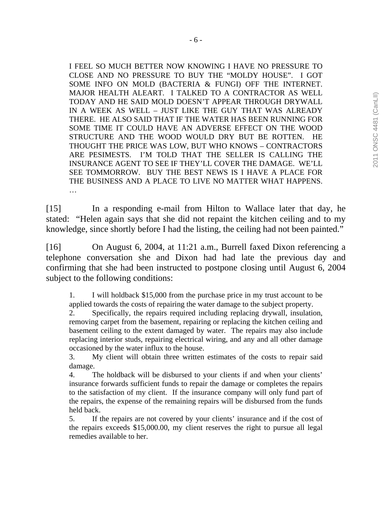I FEEL SO MUCH BETTER NOW KNOWING I HAVE NO PRESSURE TO CLOSE AND NO PRESSURE TO BUY THE "MOLDY HOUSE". I GOT SOME INFO ON MOLD (BACTERIA & FUNGI) OFF THE INTERNET. MAJOR HEALTH ALEART. I TALKED TO A CONTRACTOR AS WELL TODAY AND HE SAID MOLD DOESN'T APPEAR THROUGH DRYWALL IN A WEEK AS WELL – JUST LIKE THE GUY THAT WAS ALREADY THERE. HE ALSO SAID THAT IF THE WATER HAS BEEN RUNNING FOR SOME TIME IT COULD HAVE AN ADVERSE EFFECT ON THE WOOD STRUCTURE AND THE WOOD WOULD DRY BUT BE ROTTEN. HE THOUGHT THE PRICE WAS LOW, BUT WHO KNOWS – CONTRACTORS ARE PESIMESTS. I'M TOLD THAT THE SELLER IS CALLING THE INSURANCE AGENT TO SEE IF THEY'LL COVER THE DAMAGE. WE'LL SEE TOMMORROW. BUY THE BEST NEWS IS I HAVE A PLACE FOR THE BUSINESS AND A PLACE TO LIVE NO MATTER WHAT HAPPENS. …

[15] In a responding e-mail from Hilton to Wallace later that day, he stated: "Helen again says that she did not repaint the kitchen ceiling and to my knowledge, since shortly before I had the listing, the ceiling had not been painted."

[16] On August 6, 2004, at 11:21 a.m., Burrell faxed Dixon referencing a telephone conversation she and Dixon had had late the previous day and confirming that she had been instructed to postpone closing until August 6, 2004 subject to the following conditions:

1. I will holdback \$15,000 from the purchase price in my trust account to be applied towards the costs of repairing the water damage to the subject property.

2. Specifically, the repairs required including replacing drywall, insulation, removing carpet from the basement, repairing or replacing the kitchen ceiling and basement ceiling to the extent damaged by water. The repairs may also include replacing interior studs, repairing electrical wiring, and any and all other damage occasioned by the water influx to the house.

3. My client will obtain three written estimates of the costs to repair said damage.

4. The holdback will be disbursed to your clients if and when your clients' insurance forwards sufficient funds to repair the damage or completes the repairs to the satisfaction of my client. If the insurance company will only fund part of the repairs, the expense of the remaining repairs will be disbursed from the funds held back.

5. If the repairs are not covered by your clients' insurance and if the cost of the repairs exceeds \$15,000.00, my client reserves the right to pursue all legal remedies available to her.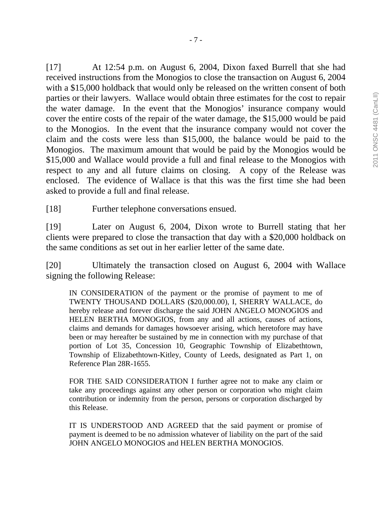[17] At 12:54 p.m. on August 6, 2004, Dixon faxed Burrell that she had received instructions from the Monogios to close the transaction on August 6, 2004 with a \$15,000 holdback that would only be released on the written consent of both parties or their lawyers. Wallace would obtain three estimates for the cost to repair the water damage. In the event that the Monogios' insurance company would cover the entire costs of the repair of the water damage, the \$15,000 would be paid to the Monogios. In the event that the insurance company would not cover the claim and the costs were less than \$15,000, the balance would be paid to the Monogios. The maximum amount that would be paid by the Monogios would be \$15,000 and Wallace would provide a full and final release to the Monogios with respect to any and all future claims on closing. A copy of the Release was enclosed. The evidence of Wallace is that this was the first time she had been asked to provide a full and final release.

[18] Further telephone conversations ensued.

[19] Later on August 6, 2004, Dixon wrote to Burrell stating that her clients were prepared to close the transaction that day with a \$20,000 holdback on the same conditions as set out in her earlier letter of the same date.

[20] Ultimately the transaction closed on August 6, 2004 with Wallace signing the following Release:

IN CONSIDERATION of the payment or the promise of payment to me of TWENTY THOUSAND DOLLARS (\$20,000.00), I, SHERRY WALLACE, do hereby release and forever discharge the said JOHN ANGELO MONOGIOS and HELEN BERTHA MONOGIOS, from any and all actions, causes of actions, claims and demands for damages howsoever arising, which heretofore may have been or may hereafter be sustained by me in connection with my purchase of that portion of Lot 35, Concession 10, Geographic Township of Elizabethtown, Township of Elizabethtown-Kitley, County of Leeds, designated as Part 1, on Reference Plan 28R-1655.

FOR THE SAID CONSIDERATION I further agree not to make any claim or take any proceedings against any other person or corporation who might claim contribution or indemnity from the person, persons or corporation discharged by this Release.

IT IS UNDERSTOOD AND AGREED that the said payment or promise of payment is deemed to be no admission whatever of liability on the part of the said JOHN ANGELO MONOGIOS and HELEN BERTHA MONOGIOS.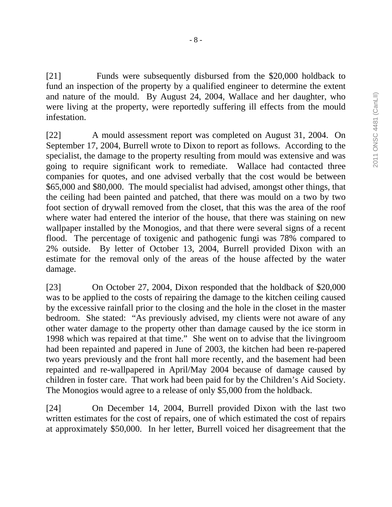[21] Funds were subsequently disbursed from the \$20,000 holdback to fund an inspection of the property by a qualified engineer to determine the extent and nature of the mould. By August 24, 2004, Wallace and her daughter, who were living at the property, were reportedly suffering ill effects from the mould infestation.

[22] A mould assessment report was completed on August 31, 2004. On September 17, 2004, Burrell wrote to Dixon to report as follows. According to the specialist, the damage to the property resulting from mould was extensive and was going to require significant work to remediate. Wallace had contacted three companies for quotes, and one advised verbally that the cost would be between \$65,000 and \$80,000. The mould specialist had advised, amongst other things, that the ceiling had been painted and patched, that there was mould on a two by two foot section of drywall removed from the closet, that this was the area of the roof where water had entered the interior of the house, that there was staining on new wallpaper installed by the Monogios, and that there were several signs of a recent flood. The percentage of toxigenic and pathogenic fungi was 78% compared to 2% outside. By letter of October 13, 2004, Burrell provided Dixon with an estimate for the removal only of the areas of the house affected by the water damage.

[23] On October 27, 2004, Dixon responded that the holdback of \$20,000 was to be applied to the costs of repairing the damage to the kitchen ceiling caused by the excessive rainfall prior to the closing and the hole in the closet in the master bedroom. She stated: "As previously advised, my clients were not aware of any other water damage to the property other than damage caused by the ice storm in 1998 which was repaired at that time." She went on to advise that the livingroom had been repainted and papered in June of 2003, the kitchen had been re-papered two years previously and the front hall more recently, and the basement had been repainted and re-wallpapered in April/May 2004 because of damage caused by children in foster care. That work had been paid for by the Children's Aid Society. The Monogios would agree to a release of only \$5,000 from the holdback.

[24] On December 14, 2004, Burrell provided Dixon with the last two written estimates for the cost of repairs, one of which estimated the cost of repairs at approximately \$50,000. In her letter, Burrell voiced her disagreement that the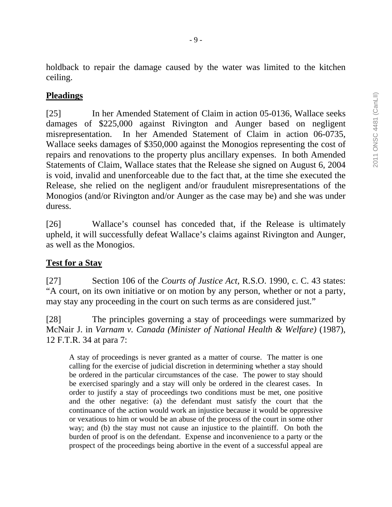holdback to repair the damage caused by the water was limited to the kitchen ceiling.

## **Pleadings**

[25] In her Amended Statement of Claim in action 05-0136, Wallace seeks damages of \$225,000 against Rivington and Aunger based on negligent misrepresentation. In her Amended Statement of Claim in action 06-0735, Wallace seeks damages of \$350,000 against the Monogios representing the cost of repairs and renovations to the property plus ancillary expenses. In both Amended Statements of Claim, Wallace states that the Release she signed on August 6, 2004 is void, invalid and unenforceable due to the fact that, at the time she executed the Release, she relied on the negligent and/or fraudulent misrepresentations of the Monogios (and/or Rivington and/or Aunger as the case may be) and she was under duress.

[26] Wallace's counsel has conceded that, if the Release is ultimately upheld, it will successfully defeat Wallace's claims against Rivington and Aunger, as well as the Monogios.

# **Test for a Stay**

[27] Section 106 of the *Courts of Justice Act*, R.S.O. 1990, c. C. 43 states: "A court, on its own initiative or on motion by any person, whether or not a party, may stay any proceeding in the court on such terms as are considered just."

[28] The principles governing a stay of proceedings were summarized by McNair J. in *Varnam v. Canada (Minister of National Health & Welfare)* (1987), 12 F.T.R. 34 at para 7:

A stay of proceedings is never granted as a matter of course. The matter is one calling for the exercise of judicial discretion in determining whether a stay should be ordered in the particular circumstances of the case. The power to stay should be exercised sparingly and a stay will only be ordered in the clearest cases. In order to justify a stay of proceedings two conditions must be met, one positive and the other negative: (a) the defendant must satisfy the court that the continuance of the action would work an injustice because it would be oppressive or vexatious to him or would be an abuse of the process of the court in some other way; and (b) the stay must not cause an injustice to the plaintiff. On both the burden of proof is on the defendant. Expense and inconvenience to a party or the prospect of the proceedings being abortive in the event of a successful appeal are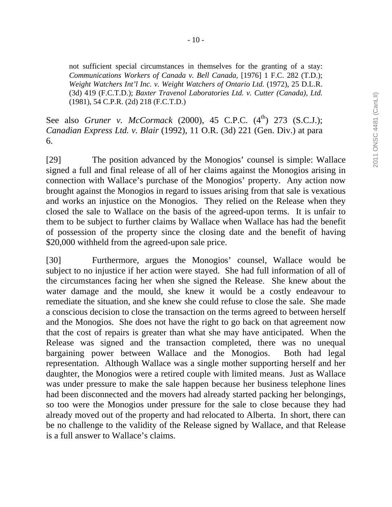not sufficient special circumstances in themselves for the granting of a stay: *Communications Workers of Canada v. Bell Canada*, [1976] 1 F.C. 282 (T.D.); *Weight Watchers Int'l Inc. v. Weight Watchers of Ontario Ltd.* (1972), 25 D.L.R. (3d) 419 (F.C.T.D.); *Baxter Travenol Laboratories Ltd. v. Cutter (Canada), Ltd.* (1981), 54 C.P.R. (2d) 218 (F.C.T.D.)

See also *Gruner v. McCormack* (2000), 45 C.P.C.  $(4^{th})$  273 (S.C.J.); *Canadian Express Ltd. v. Blair* (1992), 11 O.R. (3d) 221 (Gen. Div.) at para 6.

[29] The position advanced by the Monogios' counsel is simple: Wallace signed a full and final release of all of her claims against the Monogios arising in connection with Wallace's purchase of the Monogios' property. Any action now brought against the Monogios in regard to issues arising from that sale is vexatious and works an injustice on the Monogios. They relied on the Release when they closed the sale to Wallace on the basis of the agreed-upon terms. It is unfair to them to be subject to further claims by Wallace when Wallace has had the benefit of possession of the property since the closing date and the benefit of having \$20,000 withheld from the agreed-upon sale price.

[30] Furthermore, argues the Monogios' counsel, Wallace would be subject to no injustice if her action were stayed. She had full information of all of the circumstances facing her when she signed the Release. She knew about the water damage and the mould, she knew it would be a costly endeavour to remediate the situation, and she knew she could refuse to close the sale. She made a conscious decision to close the transaction on the terms agreed to between herself and the Monogios. She does not have the right to go back on that agreement now that the cost of repairs is greater than what she may have anticipated. When the Release was signed and the transaction completed, there was no unequal bargaining power between Wallace and the Monogios. Both had legal representation. Although Wallace was a single mother supporting herself and her daughter, the Monogios were a retired couple with limited means. Just as Wallace was under pressure to make the sale happen because her business telephone lines had been disconnected and the movers had already started packing her belongings, so too were the Monogios under pressure for the sale to close because they had already moved out of the property and had relocated to Alberta. In short, there can be no challenge to the validity of the Release signed by Wallace, and that Release is a full answer to Wallace's claims.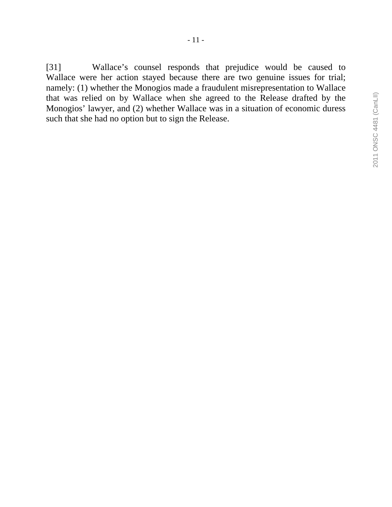[31] Wallace's counsel responds that prejudice would be caused to Wallace were her action stayed because there are two genuine issues for trial; namely: (1) whether the Monogios made a fraudulent misrepresentation to Wallace that was relied on by Wallace when she agreed to the Release drafted by the Monogios' lawyer, and (2) whether Wallace was in a situation of economic duress such that she had no option but to sign the Release.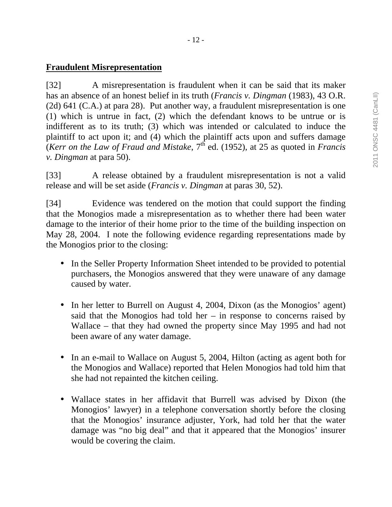## **Fraudulent Misrepresentation**

[32] A misrepresentation is fraudulent when it can be said that its maker has an absence of an honest belief in its truth (*Francis v. Dingman* (1983), 43 O.R. (2d) 641 (C.A.) at para 28). Put another way, a fraudulent misrepresentation is one (1) which is untrue in fact, (2) which the defendant knows to be untrue or is indifferent as to its truth; (3) which was intended or calculated to induce the plaintiff to act upon it; and (4) which the plaintiff acts upon and suffers damage (*Kerr on the Law of Fraud and Mistake*, 7th ed. (1952), at 25 as quoted in *Francis v. Dingman* at para 50).

[33] A release obtained by a fraudulent misrepresentation is not a valid release and will be set aside (*Francis v. Dingman* at paras 30, 52).

[34] Evidence was tendered on the motion that could support the finding that the Monogios made a misrepresentation as to whether there had been water damage to the interior of their home prior to the time of the building inspection on May 28, 2004. I note the following evidence regarding representations made by the Monogios prior to the closing:

- In the Seller Property Information Sheet intended to be provided to potential purchasers, the Monogios answered that they were unaware of any damage caused by water.
- In her letter to Burrell on August 4, 2004, Dixon (as the Monogios' agent) said that the Monogios had told her  $-$  in response to concerns raised by Wallace – that they had owned the property since May 1995 and had not been aware of any water damage.
- In an e-mail to Wallace on August 5, 2004, Hilton (acting as agent both for the Monogios and Wallace) reported that Helen Monogios had told him that she had not repainted the kitchen ceiling.
- Wallace states in her affidavit that Burrell was advised by Dixon (the Monogios' lawyer) in a telephone conversation shortly before the closing that the Monogios' insurance adjuster, York, had told her that the water damage was "no big deal" and that it appeared that the Monogios' insurer would be covering the claim.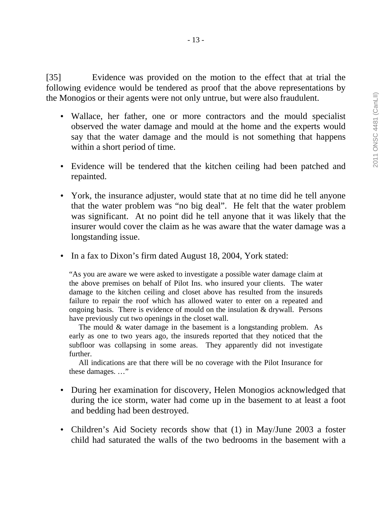- 13 -

[35] Evidence was provided on the motion to the effect that at trial the following evidence would be tendered as proof that the above representations by the Monogios or their agents were not only untrue, but were also fraudulent.

- Wallace, her father, one or more contractors and the mould specialist observed the water damage and mould at the home and the experts would say that the water damage and the mould is not something that happens within a short period of time.
- Evidence will be tendered that the kitchen ceiling had been patched and repainted.
- York, the insurance adjuster, would state that at no time did he tell anyone that the water problem was "no big deal". He felt that the water problem was significant. At no point did he tell anyone that it was likely that the insurer would cover the claim as he was aware that the water damage was a longstanding issue.
- In a fax to Dixon's firm dated August 18, 2004, York stated:

"As you are aware we were asked to investigate a possible water damage claim at the above premises on behalf of Pilot Ins. who insured your clients. The water damage to the kitchen ceiling and closet above has resulted from the insureds failure to repair the roof which has allowed water to enter on a repeated and ongoing basis. There is evidence of mould on the insulation  $&$  drywall. Persons have previously cut two openings in the closet wall.

 The mould & water damage in the basement is a longstanding problem. As early as one to two years ago, the insureds reported that they noticed that the subfloor was collapsing in some areas. They apparently did not investigate further.

 All indications are that there will be no coverage with the Pilot Insurance for these damages. …"

- During her examination for discovery, Helen Monogios acknowledged that during the ice storm, water had come up in the basement to at least a foot and bedding had been destroyed.
- Children's Aid Society records show that (1) in May/June 2003 a foster child had saturated the walls of the two bedrooms in the basement with a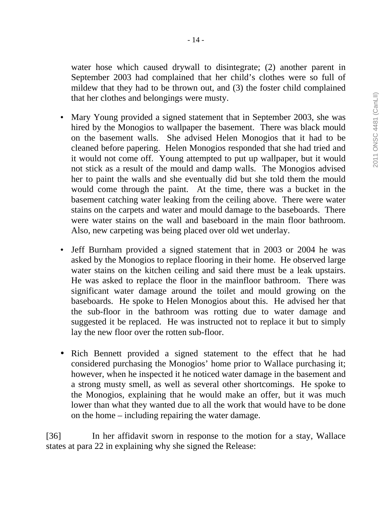water hose which caused drywall to disintegrate; (2) another parent in September 2003 had complained that her child's clothes were so full of mildew that they had to be thrown out, and (3) the foster child complained that her clothes and belongings were musty.

- Mary Young provided a signed statement that in September 2003, she was hired by the Monogios to wallpaper the basement. There was black mould on the basement walls. She advised Helen Monogios that it had to be cleaned before papering. Helen Monogios responded that she had tried and it would not come off. Young attempted to put up wallpaper, but it would not stick as a result of the mould and damp walls. The Monogios advised her to paint the walls and she eventually did but she told them the mould would come through the paint. At the time, there was a bucket in the basement catching water leaking from the ceiling above. There were water stains on the carpets and water and mould damage to the baseboards. There were water stains on the wall and baseboard in the main floor bathroom. Also, new carpeting was being placed over old wet underlay.
- Jeff Burnham provided a signed statement that in 2003 or 2004 he was asked by the Monogios to replace flooring in their home. He observed large water stains on the kitchen ceiling and said there must be a leak upstairs. He was asked to replace the floor in the mainfloor bathroom. There was significant water damage around the toilet and mould growing on the baseboards. He spoke to Helen Monogios about this. He advised her that the sub-floor in the bathroom was rotting due to water damage and suggested it be replaced. He was instructed not to replace it but to simply lay the new floor over the rotten sub-floor.
- Rich Bennett provided a signed statement to the effect that he had considered purchasing the Monogios' home prior to Wallace purchasing it; however, when he inspected it he noticed water damage in the basement and a strong musty smell, as well as several other shortcomings. He spoke to the Monogios, explaining that he would make an offer, but it was much lower than what they wanted due to all the work that would have to be done on the home – including repairing the water damage.

[36] In her affidavit sworn in response to the motion for a stay, Wallace states at para 22 in explaining why she signed the Release: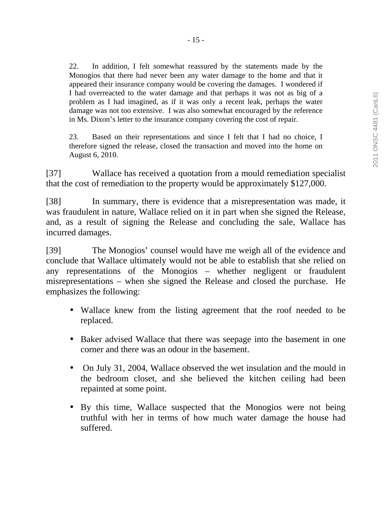22. In addition, I felt somewhat reassured by the statements made by the Monogios that there had never been any water damage to the home and that it appeared their insurance company would be covering the damages. I wondered if I had overreacted to the water damage and that perhaps it was not as big of a problem as I had imagined, as if it was only a recent leak, perhaps the water damage was not too extensive. I was also somewhat encouraged by the reference in Ms. Dixon's letter to the insurance company covering the cost of repair.

23. Based on their representations and since I felt that I had no choice, I therefore signed the release, closed the transaction and moved into the home on August 6, 2010.

[37] Wallace has received a quotation from a mould remediation specialist that the cost of remediation to the property would be approximately \$127,000.

[38] In summary, there is evidence that a misrepresentation was made, it was fraudulent in nature, Wallace relied on it in part when she signed the Release, and, as a result of signing the Release and concluding the sale, Wallace has incurred damages.

[39] The Monogios' counsel would have me weigh all of the evidence and conclude that Wallace ultimately would not be able to establish that she relied on any representations of the Monogios – whether negligent or fraudulent misrepresentations – when she signed the Release and closed the purchase. He emphasizes the following:

- Wallace knew from the listing agreement that the roof needed to be replaced.
- Baker advised Wallace that there was seepage into the basement in one corner and there was an odour in the basement.
- On July 31, 2004, Wallace observed the wet insulation and the mould in the bedroom closet, and she believed the kitchen ceiling had been repainted at some point.
- By this time, Wallace suspected that the Monogios were not being truthful with her in terms of how much water damage the house had suffered.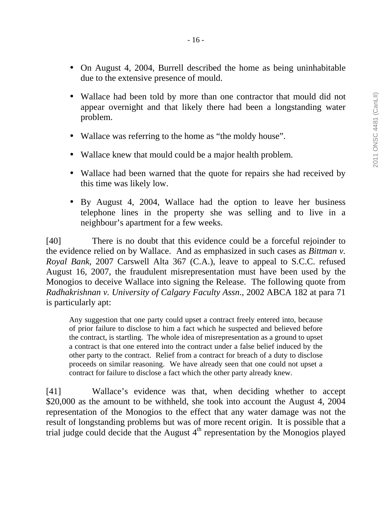- On August 4, 2004, Burrell described the home as being uninhabitable due to the extensive presence of mould.
- Wallace had been told by more than one contractor that mould did not appear overnight and that likely there had been a longstanding water problem.
- Wallace was referring to the home as "the moldy house".
- Wallace knew that mould could be a major health problem.
- Wallace had been warned that the quote for repairs she had received by this time was likely low.
- By August 4, 2004, Wallace had the option to leave her business telephone lines in the property she was selling and to live in a neighbour's apartment for a few weeks.

[40] There is no doubt that this evidence could be a forceful rejoinder to the evidence relied on by Wallace. And as emphasized in such cases as *Bittman v. Royal Bank*, 2007 Carswell Alta 367 (C.A.), leave to appeal to S.C.C. refused August 16, 2007, the fraudulent misrepresentation must have been used by the Monogios to deceive Wallace into signing the Release. The following quote from *Radhakrishnan v. University of Calgary Faculty Assn*., 2002 ABCA 182 at para 71 is particularly apt:

Any suggestion that one party could upset a contract freely entered into, because of prior failure to disclose to him a fact which he suspected and believed before the contract, is startling. The whole idea of misrepresentation as a ground to upset a contract is that one entered into the contract under a false belief induced by the other party to the contract. Relief from a contract for breach of a duty to disclose proceeds on similar reasoning. We have already seen that one could not upset a contract for failure to disclose a fact which the other party already knew.

[41] Wallace's evidence was that, when deciding whether to accept \$20,000 as the amount to be withheld, she took into account the August 4, 2004 representation of the Monogios to the effect that any water damage was not the result of longstanding problems but was of more recent origin. It is possible that a trial judge could decide that the August  $4<sup>th</sup>$  representation by the Monogios played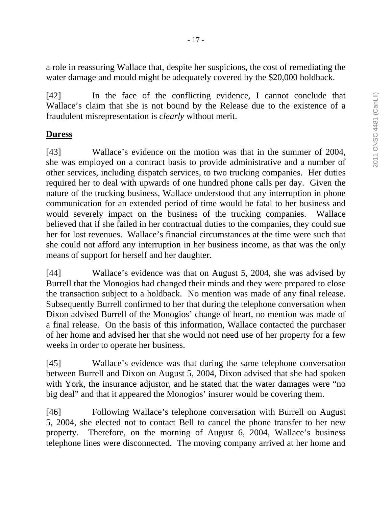a role in reassuring Wallace that, despite her suspicions, the cost of remediating the water damage and mould might be adequately covered by the \$20,000 holdback.

[42] In the face of the conflicting evidence, I cannot conclude that Wallace's claim that she is not bound by the Release due to the existence of a fraudulent misrepresentation is *clearly* without merit.

## **Duress**

[43] Wallace's evidence on the motion was that in the summer of 2004, she was employed on a contract basis to provide administrative and a number of other services, including dispatch services, to two trucking companies. Her duties required her to deal with upwards of one hundred phone calls per day. Given the nature of the trucking business, Wallace understood that any interruption in phone communication for an extended period of time would be fatal to her business and would severely impact on the business of the trucking companies. Wallace believed that if she failed in her contractual duties to the companies, they could sue her for lost revenues. Wallace's financial circumstances at the time were such that she could not afford any interruption in her business income, as that was the only means of support for herself and her daughter.

[44] Wallace's evidence was that on August 5, 2004, she was advised by Burrell that the Monogios had changed their minds and they were prepared to close the transaction subject to a holdback. No mention was made of any final release. Subsequently Burrell confirmed to her that during the telephone conversation when Dixon advised Burrell of the Monogios' change of heart, no mention was made of a final release. On the basis of this information, Wallace contacted the purchaser of her home and advised her that she would not need use of her property for a few weeks in order to operate her business.

[45] Wallace's evidence was that during the same telephone conversation between Burrell and Dixon on August 5, 2004, Dixon advised that she had spoken with York, the insurance adjustor, and he stated that the water damages were "no big deal" and that it appeared the Monogios' insurer would be covering them.

[46] Following Wallace's telephone conversation with Burrell on August 5, 2004, she elected not to contact Bell to cancel the phone transfer to her new property. Therefore, on the morning of August 6, 2004, Wallace's business telephone lines were disconnected. The moving company arrived at her home and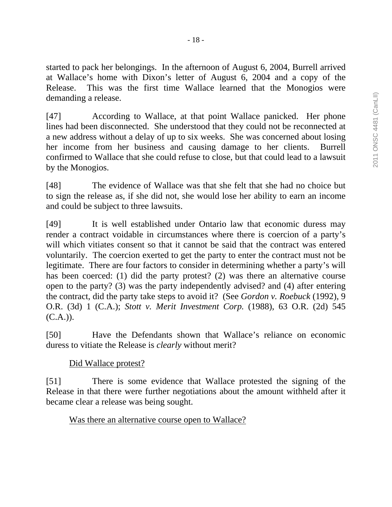started to pack her belongings. In the afternoon of August 6, 2004, Burrell arrived at Wallace's home with Dixon's letter of August 6, 2004 and a copy of the Release. This was the first time Wallace learned that the Monogios were demanding a release.

[47] According to Wallace, at that point Wallace panicked. Her phone lines had been disconnected. She understood that they could not be reconnected at a new address without a delay of up to six weeks. She was concerned about losing her income from her business and causing damage to her clients. Burrell confirmed to Wallace that she could refuse to close, but that could lead to a lawsuit by the Monogios.

[48] The evidence of Wallace was that she felt that she had no choice but to sign the release as, if she did not, she would lose her ability to earn an income and could be subject to three lawsuits.

[49] It is well established under Ontario law that economic duress may render a contract voidable in circumstances where there is coercion of a party's will which vitiates consent so that it cannot be said that the contract was entered voluntarily. The coercion exerted to get the party to enter the contract must not be legitimate. There are four factors to consider in determining whether a party's will has been coerced: (1) did the party protest? (2) was there an alternative course open to the party? (3) was the party independently advised? and (4) after entering the contract, did the party take steps to avoid it? (See *Gordon v. Roebuck* (1992), 9 O.R. (3d) 1 (C.A.); *Stott v. Merit Investment Corp.* (1988), 63 O.R. (2d) 545  $(C.A.)$ ).

[50] Have the Defendants shown that Wallace's reliance on economic duress to vitiate the Release is *clearly* without merit?

# Did Wallace protest?

[51] There is some evidence that Wallace protested the signing of the Release in that there were further negotiations about the amount withheld after it became clear a release was being sought.

Was there an alternative course open to Wallace?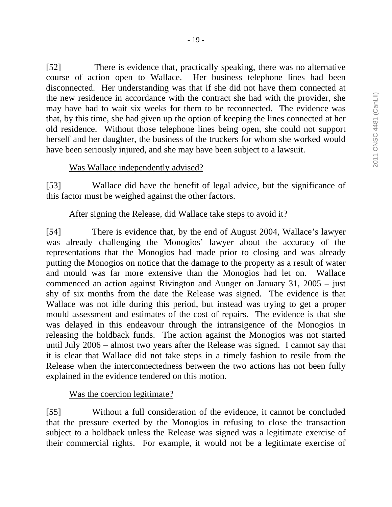[52] There is evidence that, practically speaking, there was no alternative course of action open to Wallace. Her business telephone lines had been disconnected. Her understanding was that if she did not have them connected at the new residence in accordance with the contract she had with the provider, she may have had to wait six weeks for them to be reconnected. The evidence was that, by this time, she had given up the option of keeping the lines connected at her old residence. Without those telephone lines being open, she could not support herself and her daughter, the business of the truckers for whom she worked would have been seriously injured, and she may have been subject to a lawsuit.

#### Was Wallace independently advised?

[53] Wallace did have the benefit of legal advice, but the significance of this factor must be weighed against the other factors.

#### After signing the Release, did Wallace take steps to avoid it?

[54] There is evidence that, by the end of August 2004, Wallace's lawyer was already challenging the Monogios' lawyer about the accuracy of the representations that the Monogios had made prior to closing and was already putting the Monogios on notice that the damage to the property as a result of water and mould was far more extensive than the Monogios had let on. Wallace commenced an action against Rivington and Aunger on January 31, 2005 – just shy of six months from the date the Release was signed. The evidence is that Wallace was not idle during this period, but instead was trying to get a proper mould assessment and estimates of the cost of repairs. The evidence is that she was delayed in this endeavour through the intransigence of the Monogios in releasing the holdback funds. The action against the Monogios was not started until July 2006 – almost two years after the Release was signed. I cannot say that it is clear that Wallace did not take steps in a timely fashion to resile from the Release when the interconnectedness between the two actions has not been fully explained in the evidence tendered on this motion.

#### Was the coercion legitimate?

[55] Without a full consideration of the evidence, it cannot be concluded that the pressure exerted by the Monogios in refusing to close the transaction subject to a holdback unless the Release was signed was a legitimate exercise of their commercial rights. For example, it would not be a legitimate exercise of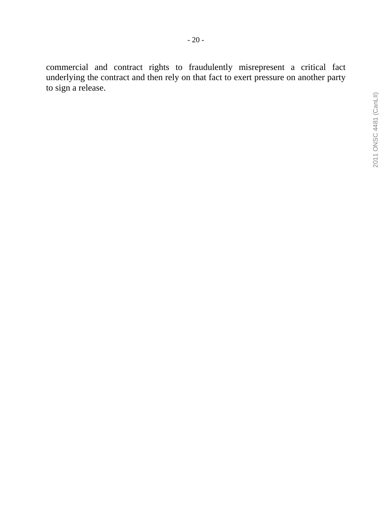commercial and contract rights to fraudulently misrepresent a critical fact underlying the contract and then rely on that fact to exert pressure on another party to sign a release.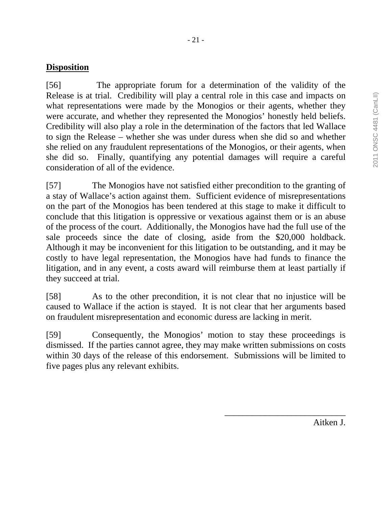## **Disposition**

[56] The appropriate forum for a determination of the validity of the Release is at trial. Credibility will play a central role in this case and impacts on what representations were made by the Monogios or their agents, whether they were accurate, and whether they represented the Monogios' honestly held beliefs. Credibility will also play a role in the determination of the factors that led Wallace to sign the Release – whether she was under duress when she did so and whether she relied on any fraudulent representations of the Monogios, or their agents, when she did so. Finally, quantifying any potential damages will require a careful consideration of all of the evidence.

[57] The Monogios have not satisfied either precondition to the granting of a stay of Wallace's action against them. Sufficient evidence of misrepresentations on the part of the Monogios has been tendered at this stage to make it difficult to conclude that this litigation is oppressive or vexatious against them or is an abuse of the process of the court. Additionally, the Monogios have had the full use of the sale proceeds since the date of closing, aside from the \$20,000 holdback. Although it may be inconvenient for this litigation to be outstanding, and it may be costly to have legal representation, the Monogios have had funds to finance the litigation, and in any event, a costs award will reimburse them at least partially if they succeed at trial.

[58] As to the other precondition, it is not clear that no injustice will be caused to Wallace if the action is stayed. It is not clear that her arguments based on fraudulent misrepresentation and economic duress are lacking in merit.

[59] Consequently, the Monogios' motion to stay these proceedings is dismissed. If the parties cannot agree, they may make written submissions on costs within 30 days of the release of this endorsement. Submissions will be limited to five pages plus any relevant exhibits.

Aitken J.

\_\_\_\_\_\_\_\_\_\_\_\_\_\_\_\_\_\_\_\_\_\_\_\_\_\_\_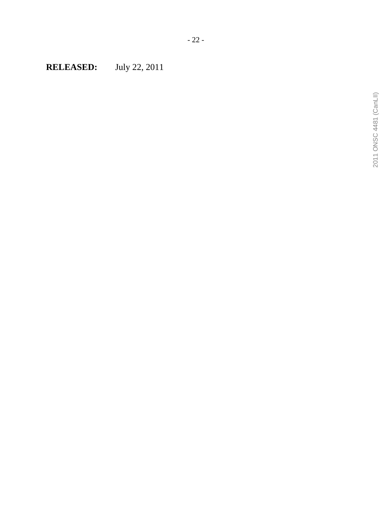**RELEASED:** July 22, 2011